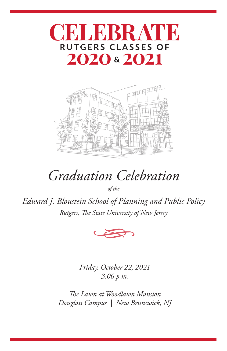



# *Graduation Celebration*

*of the*

*Edward J. Bloustein School of Planning and Public Policy Rutgers, The State University of New Jersey*



*Friday, October 22, 2021 3:00 p.m.*

*The Lawn at Woodlawn Mansion Douglass Campus | New Brunswick, NJ*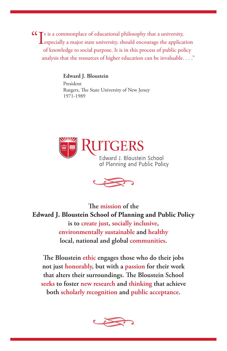**CC** It is a commonplace of educational philosophy that a university, should encourage the application of knowledge to social purpose. It is in this process of public policy analysis that the resources of higher education can be invaluable. . . ."

#### **Edward J. Bloustein**

President Rutgers, The State University of New Jersey 1971-1989





**The mission of the Edward J. Bloustein School of Planning and Public Policy is to create just, socially inclusive, environmentally sustainable and healthy local, national and global communities.**

**The Bloustein ethic engages those who do their jobs not just honorably, but with a passion for their work that alters their surroundings. The Bloustein School seeks to foster new research and thinking that achieve both scholarly recognition and public acceptance.**

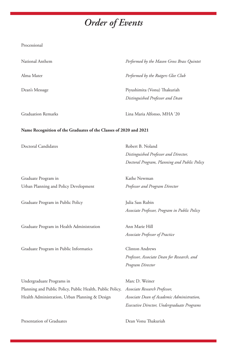## *Order of Events*

| National Anthem                                                                                                                          | Performed by the Mason Gross Brass Quintet    |
|------------------------------------------------------------------------------------------------------------------------------------------|-----------------------------------------------|
| Alma Mater                                                                                                                               | Performed by the Rutgers Glee Club            |
| Dean's Message                                                                                                                           | Piyushimita (Vonu) Thakuriah                  |
|                                                                                                                                          | Distinguished Professor and Dean              |
| <b>Graduation Remarks</b>                                                                                                                | Lina Maria Alfonso, MHA '20                   |
| Name Recognition of the Graduates of the Classes of 2020 and 2021                                                                        |                                               |
| Doctoral Candidates                                                                                                                      | Robert B. Noland                              |
|                                                                                                                                          | Distinguished Professor and Director,         |
|                                                                                                                                          | Doctoral Program, Planning and Public Policy  |
| Graduate Program in                                                                                                                      | Kathe Newman                                  |
| Urban Planning and Policy Development                                                                                                    | Professor and Program Director                |
| Graduate Program in Public Policy                                                                                                        | Julia Sass Rubin                              |
|                                                                                                                                          | Associate Professor, Program in Public Policy |
| Graduate Program in Health Administration                                                                                                | Ann Marie Hill                                |
|                                                                                                                                          | Associate Professor of Practice               |
| Graduate Program in Public Informatics                                                                                                   | <b>Clinton Andrews</b>                        |
|                                                                                                                                          | Professor, Associate Dean for Research, and   |
|                                                                                                                                          | Program Director                              |
|                                                                                                                                          |                                               |
|                                                                                                                                          | Marc D. Weiner                                |
|                                                                                                                                          | Associate Research Professor,                 |
| Undergraduate Programs in<br>Planning and Public Policy, Public Health, Public Policy,<br>Health Administration, Urban Planning & Design | Associate Dean of Academic Administration,    |

Presentation of Graduates Dean Vonu Thakuriah